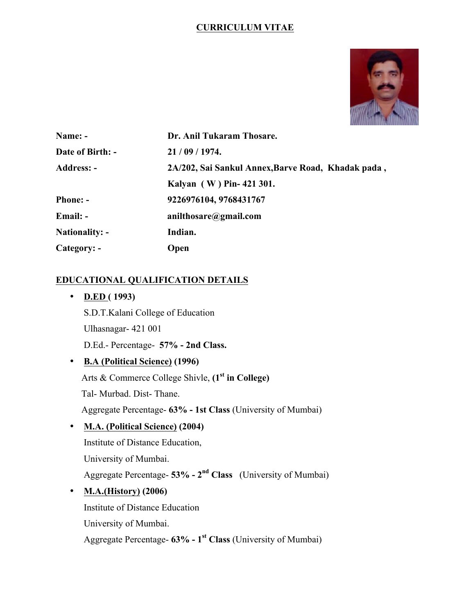## **CURRICULUM VITAE**



| Name: -               | Dr. Anil Tukaram Thosare.                          |
|-----------------------|----------------------------------------------------|
| Date of Birth: -      | 21/09/1974.                                        |
| <b>Address: -</b>     | 2A/202, Sai Sankul Annex, Barve Road, Khadak pada, |
|                       | Kalyan (W) Pin-421 301.                            |
| <b>Phone: -</b>       | 9226976104, 9768431767                             |
| Email: -              | anilthosare@gmail.com                              |
| <b>Nationality: -</b> | Indian.                                            |
| Category: -           | <b>Open</b>                                        |

# **EDUCATIONAL QUALIFICATION DETAILS**

• **D.ED ( 1993)** S.D.T.Kalani College of Education Ulhasnagar- 421 001 D.Ed.- Percentage- **57% - 2nd Class.** • **B.A (Political Science) (1996)**

 Arts & Commerce College Shivle, **(1st in College)** Tal- Murbad. Dist- Thane. Aggregate Percentage- **63% - 1st Class** (University of Mumbai)

• **M.A. (Political Science) (2004)** Institute of Distance Education, University of Mumbai. Aggregate Percentage- **53% - 2nd Class** (University of Mumbai) • **M.A.(History) (2006)**

 Institute of Distance Education University of Mumbai. Aggregate Percentage- **63% - 1st Class** (University of Mumbai)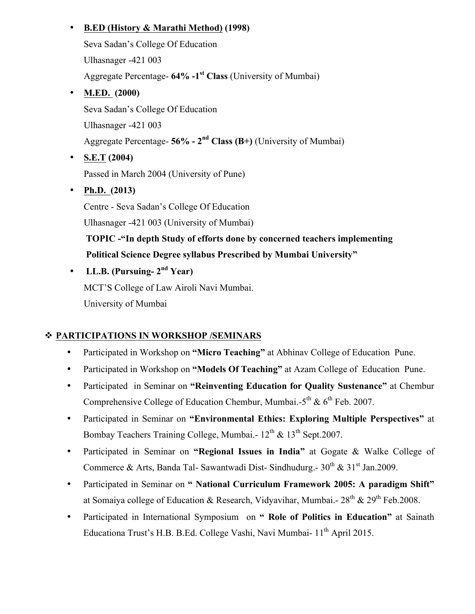# • **B.ED (History & Marathi Method) (1998)**

 Seva Sadan's College Of Education Ulhasnager -421 003 Aggregate Percentage- **64% -1st Class** (University of Mumbai)

- **M.ED. (2000)** Seva Sadan's College Of Education Ulhasnager -421 003 Aggregate Percentage- **56% - 2nd Class (B+)** (University of Mumbai)
- **S.E.T (2004)** Passed in March 2004 (University of Pune)
- **Ph.D. (2013)** Centre - Seva Sadan's College Of Education Ulhasnager -421 003 (University of Mumbai)  **TOPIC -"In depth Study of efforts done by concerned teachers implementing Political Science Degree syllabus Prescribed by Mumbai University"**
- **LL.B. (Pursuing- 2nd Year)** MCT'S College of Law Airoli Navi Mumbai. University of Mumbai

# v **PARTICIPATIONS IN WORKSHOP /SEMINARS**

- Participated in Workshop on **"Micro Teaching"** at Abhinav College of Education Pune.
- Participated in Workshop on **"Models Of Teaching"** at Azam College of Education Pune.
- Participated in Seminar on **"Reinventing Education for Quality Sustenance"** at Chembur Comprehensive College of Education Chembur, Mumbai.- $5^{th}$  &  $6^{th}$  Feb. 2007.
- Participated in Seminar on **"Environmental Ethics: Exploring Multiple Perspectives"** at Bombay Teachers Training College, Mumbai.-  $12^{th}$  &  $13^{th}$  Sept.2007.
- Participated in Seminar on **"Regional Issues in India"** at Gogate & Walke College of Commerce & Arts, Banda Tal- Sawantwadi Dist- Sindhudurg.-  $30^{th}$  &  $31^{st}$  Jan.2009.
- Participated in Seminar on **" National Curriculum Framework 2005: A paradigm Shift"**  at Somaiya college of Education & Research, Vidyavihar, Mumbai.-  $28^{th}$  &  $29^{th}$  Feb.2008.
- Participated in International Symposium on **" Role of Politics in Education"** at Sainath Educationa Trust's H.B. B.Ed. College Vashi, Navi Mumbai- 11<sup>th</sup> April 2015.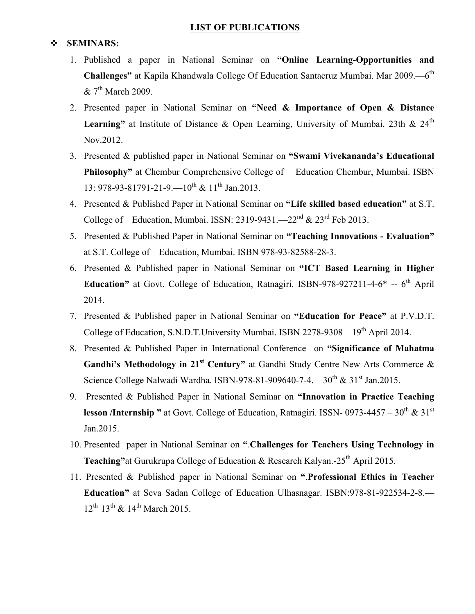#### **LIST OF PUBLICATIONS**

#### v **SEMINARS:**

- 1. Published a paper in National Seminar on **"Online Learning-Opportunities and Challenges"** at Kapila Khandwala College Of Education Santacruz Mumbai. Mar 2009.—6<sup>th</sup>  $& 7<sup>th</sup>$  March 2009.
- 2. Presented paper in National Seminar on **"Need & Importance of Open & Distance**  Learning" at Institute of Distance & Open Learning, University of Mumbai. 23th & 24<sup>th</sup> Nov.2012.
- 3. Presented & published paper in National Seminar on **"Swami Vivekananda's Educational Philosophy"** at Chembur Comprehensive College of Education Chembur, Mumbai. ISBN 13: 978-93-81791-21-9.— $10^{th}$  &  $11^{th}$  Jan.2013.
- 4. Presented & Published Paper in National Seminar on **"Life skilled based education"** at S.T. College of Education, Mumbai. ISSN:  $2319-9431$ . -- $22<sup>nd</sup>$  &  $23<sup>rd</sup>$  Feb 2013.
- 5. Presented & Published Paper in National Seminar on **"Teaching Innovations - Evaluation"** at S.T. College of Education, Mumbai. ISBN 978-93-82588-28-3.
- 6. Presented & Published paper in National Seminar on **"ICT Based Learning in Higher**  Education" at Govt. College of Education, Ratnagiri. ISBN-978-927211-4-6<sup>\*</sup> -- 6<sup>th</sup> April 2014.
- 7. Presented & Published paper in National Seminar on **"Education for Peace"** at P.V.D.T. College of Education, S.N.D.T.University Mumbai. ISBN 2278-9308—19<sup>th</sup> April 2014.
- 8. Presented & Published Paper in International Conference on **"Significance of Mahatma**  Gandhi's Methodology in 21<sup>st</sup> Century" at Gandhi Study Centre New Arts Commerce & Science College Nalwadi Wardha. ISBN-978-81-909640-7-4.—30<sup>th</sup> &  $31^{st}$  Jan.2015.
- 9. Presented & Published Paper in National Seminar on **"Innovation in Practice Teaching lesson /Internship "** at Govt. College of Education, Ratnagiri. ISSN- 0973-4457 –  $30^{th}$  &  $31^{st}$ Jan.2015.
- 10. Presented paper in National Seminar on **"**.**Challenges for Teachers Using Technology in Teaching"** at Gurukrupa College of Education & Research Kalyan.-25<sup>th</sup> April 2015.
- 11. Presented & Published paper in National Seminar on **"**.**Professional Ethics in Teacher Education"** at Seva Sadan College of Education Ulhasnagar. ISBN:978-81-922534-2-8.—  $12^{th}$   $13^{th}$  &  $14^{th}$  March 2015.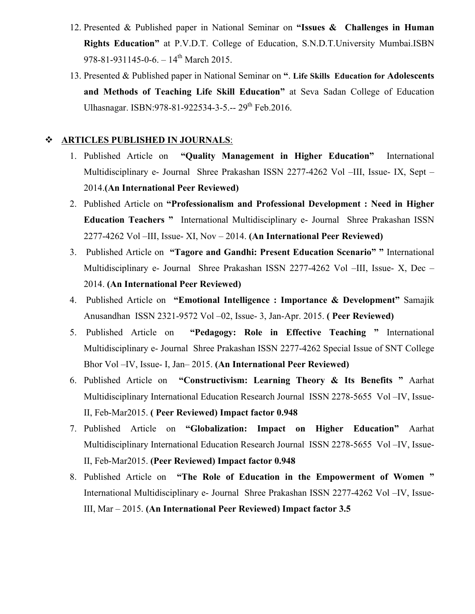- 12. Presented & Published paper in National Seminar on **"Issues & Challenges in Human Rights Education"** at P.V.D.T. College of Education, S.N.D.T.University Mumbai.ISBN 978-81-931145-0-6. –  $14^{th}$  March 2015.
- 13. Presented & Published paper in National Seminar on **"**. **Life Skills Education for Adolescents and Methods of Teaching Life Skill Education"** at Seva Sadan College of Education Ulhasnagar. ISBN: 978-81-922534-3-5.-- 29<sup>th</sup> Feb. 2016.

#### v **ARTICLES PUBLISHED IN JOURNALS**:

- 1. Published Article on **"Quality Management in Higher Education"** International Multidisciplinary e- Journal Shree Prakashan ISSN 2277-4262 Vol –III, Issue- IX, Sept – 2014.**(An International Peer Reviewed)**
- 2. Published Article on **"Professionalism and Professional Development : Need in Higher Education Teachers "** International Multidisciplinary e- Journal Shree Prakashan ISSN 2277-4262 Vol –III, Issue- XI, Nov – 2014. **(An International Peer Reviewed)**
- 3. Published Article on **"Tagore and Gandhi: Present Education Scenario" "** International Multidisciplinary e- Journal Shree Prakashan ISSN 2277-4262 Vol –III, Issue- X, Dec – 2014. **(An International Peer Reviewed)**
- 4. Published Article on **"Emotional Intelligence : Importance & Development"** Samajik Anusandhan ISSN 2321-9572 Vol –02, Issue- 3, Jan-Apr. 2015. **( Peer Reviewed)**
- 5. Published Article on **"Pedagogy: Role in Effective Teaching "** International Multidisciplinary e- Journal Shree Prakashan ISSN 2277-4262 Special Issue of SNT College Bhor Vol –IV, Issue- I, Jan– 2015. **(An International Peer Reviewed)**
- 6. Published Article on **"Constructivism: Learning Theory & Its Benefits "** Aarhat Multidisciplinary International Education Research Journal ISSN 2278-5655 Vol –IV, Issue-II, Feb-Mar2015. **( Peer Reviewed) Impact factor 0.948**
- 7. Published Article on **"Globalization: Impact on Higher Education"** Aarhat Multidisciplinary International Education Research Journal ISSN 2278-5655 Vol –IV, Issue-II, Feb-Mar2015. **(Peer Reviewed) Impact factor 0.948**
- 8. Published Article on **"The Role of Education in the Empowerment of Women "**  International Multidisciplinary e- Journal Shree Prakashan ISSN 2277-4262 Vol –IV, Issue-III, Mar – 2015. **(An International Peer Reviewed) Impact factor 3.5**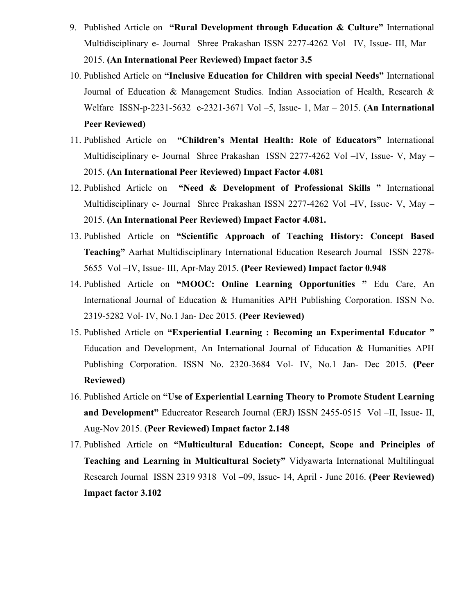- 9. Published Article on **"Rural Development through Education & Culture"** International Multidisciplinary e- Journal Shree Prakashan ISSN 2277-4262 Vol –IV, Issue- III, Mar – 2015. **(An International Peer Reviewed) Impact factor 3.5**
- 10. Published Article on **"Inclusive Education for Children with special Needs"** International Journal of Education & Management Studies. Indian Association of Health, Research & Welfare ISSN-p-2231-5632 e-2321-3671 Vol –5, Issue- 1, Mar – 2015. **(An International Peer Reviewed)**
- 11. Published Article on **"Children's Mental Health: Role of Educators"** International Multidisciplinary e- Journal Shree Prakashan ISSN 2277-4262 Vol –IV, Issue- V, May – 2015. **(An International Peer Reviewed) Impact Factor 4.081**
- 12. Published Article on **"Need & Development of Professional Skills "** International Multidisciplinary e- Journal Shree Prakashan ISSN 2277-4262 Vol –IV, Issue- V, May – 2015. **(An International Peer Reviewed) Impact Factor 4.081.**
- 13. Published Article on **"Scientific Approach of Teaching History: Concept Based Teaching"** Aarhat Multidisciplinary International Education Research Journal ISSN 2278- 5655 Vol –IV, Issue- III, Apr-May 2015. **(Peer Reviewed) Impact factor 0.948**
- 14. Published Article on **"MOOC: Online Learning Opportunities "** Edu Care, An International Journal of Education & Humanities APH Publishing Corporation. ISSN No. 2319-5282 Vol- IV, No.1 Jan- Dec 2015. **(Peer Reviewed)**
- 15. Published Article on **"Experiential Learning : Becoming an Experimental Educator "**  Education and Development, An International Journal of Education & Humanities APH Publishing Corporation. ISSN No. 2320-3684 Vol- IV, No.1 Jan- Dec 2015. **(Peer Reviewed)**
- 16. Published Article on **"Use of Experiential Learning Theory to Promote Student Learning and Development"** Educreator Research Journal (ERJ) ISSN 2455-0515 Vol –II, Issue- II, Aug-Nov 2015. **(Peer Reviewed) Impact factor 2.148**
- 17. Published Article on **"Multicultural Education: Concept, Scope and Principles of Teaching and Learning in Multicultural Society"** Vidyawarta International Multilingual Research Journal ISSN 2319 9318 Vol –09, Issue- 14, April - June 2016. **(Peer Reviewed) Impact factor 3.102**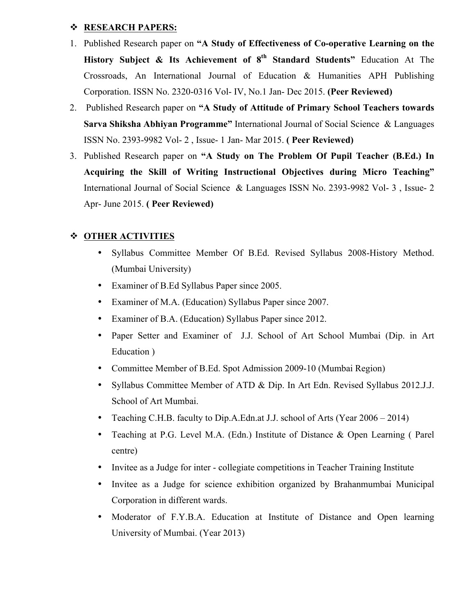### v **RESEARCH PAPERS:**

- 1. Published Research paper on **"A Study of Effectiveness of Co-operative Learning on the History Subject & Its Achievement of 8th Standard Students"** Education At The Crossroads, An International Journal of Education & Humanities APH Publishing Corporation. ISSN No. 2320-0316 Vol- IV, No.1 Jan- Dec 2015. **(Peer Reviewed)**
- 2. Published Research paper on **"A Study of Attitude of Primary School Teachers towards Sarva Shiksha Abhiyan Programme"** International Journal of Social Science & Languages ISSN No. 2393-9982 Vol- 2 , Issue- 1 Jan- Mar 2015. **( Peer Reviewed)**
- 3. Published Research paper on **"A Study on The Problem Of Pupil Teacher (B.Ed.) In Acquiring the Skill of Writing Instructional Objectives during Micro Teaching"**  International Journal of Social Science & Languages ISSN No. 2393-9982 Vol- 3 , Issue- 2 Apr- June 2015. **( Peer Reviewed)**

### v **OTHER ACTIVITIES**

- Syllabus Committee Member Of B.Ed. Revised Syllabus 2008-History Method. (Mumbai University)
- Examiner of B.Ed Syllabus Paper since 2005.
- Examiner of M.A. (Education) Syllabus Paper since 2007.
- Examiner of B.A. (Education) Syllabus Paper since 2012.
- Paper Setter and Examiner of J.J. School of Art School Mumbai (Dip. in Art Education )
- Committee Member of B.Ed. Spot Admission 2009-10 (Mumbai Region)
- Syllabus Committee Member of ATD & Dip. In Art Edn. Revised Syllabus 2012.J.J. School of Art Mumbai.
- Teaching C.H.B. faculty to Dip.A.Edn.at J.J. school of Arts (Year 2006 2014)
- Teaching at P.G. Level M.A. (Edn.) Institute of Distance & Open Learning ( Parel centre)
- Invitee as a Judge for inter collegiate competitions in Teacher Training Institute
- Invitee as a Judge for science exhibition organized by Brahanmumbai Municipal Corporation in different wards.
- Moderator of F.Y.B.A. Education at Institute of Distance and Open learning University of Mumbai. (Year 2013)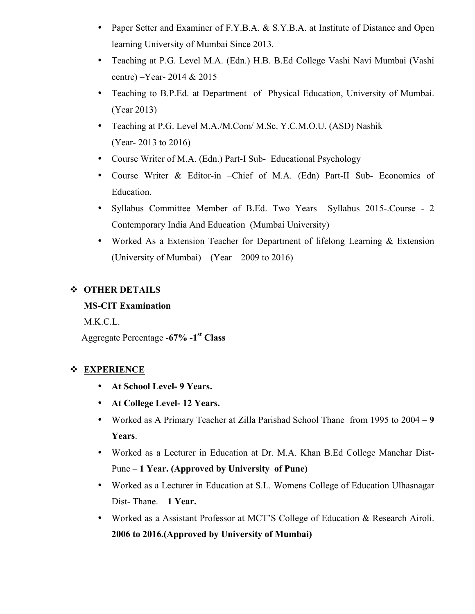- Paper Setter and Examiner of F.Y.B.A. & S.Y.B.A. at Institute of Distance and Open learning University of Mumbai Since 2013.
- Teaching at P.G. Level M.A. (Edn.) H.B. B.Ed College Vashi Navi Mumbai (Vashi centre) –Year- 2014 & 2015
- Teaching to B.P.Ed. at Department of Physical Education, University of Mumbai. (Year 2013)
- Teaching at P.G. Level M.A./M.Com/ M.Sc. Y.C.M.O.U. (ASD) Nashik (Year- 2013 to 2016)
- Course Writer of M.A. (Edn.) Part-I Sub- Educational Psychology
- Course Writer & Editor-in –Chief of M.A. (Edn) Part-II Sub- Economics of Education.
- Syllabus Committee Member of B.Ed. Two Years Syllabus 2015-.Course 2 Contemporary India And Education (Mumbai University)
- Worked As a Extension Teacher for Department of lifelong Learning & Extension (University of Mumbai) – (Year – 2009 to 2016)

# v **OTHER DETAILS**

# **MS-CIT Examination**

M.K.C.L.

Aggregate Percentage -**67% -1st Class**

# v **EXPERIENCE**

- **At School Level- 9 Years.**
- **At College Level- 12 Years.**
- Worked as A Primary Teacher at Zilla Parishad School Thane from 1995 to 2004 **9 Years**.
- Worked as a Lecturer in Education at Dr. M.A. Khan B.Ed College Manchar Dist-Pune – **1 Year. (Approved by University of Pune)**
- Worked as a Lecturer in Education at S.L. Womens College of Education Ulhasnagar Dist- Thane. – **1 Year.**
- Worked as a Assistant Professor at MCT'S College of Education & Research Airoli. **2006 to 2016.(Approved by University of Mumbai)**